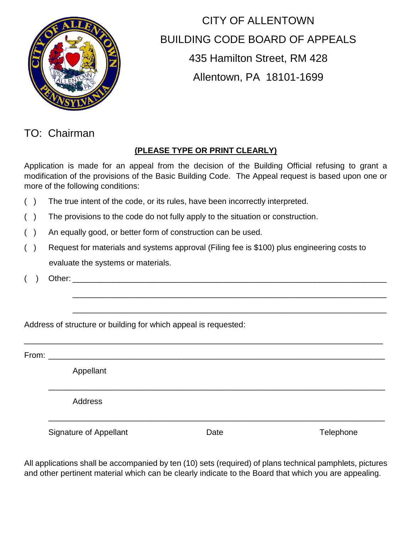

# CITY OF ALLENTOWN BUILDING CODE BOARD OF APPEALS 435 Hamilton Street, RM 428 Allentown, PA 18101-1699

### TO: Chairman

#### **(PLEASE TYPE OR PRINT CLEARLY)**

Application is made for an appeal from the decision of the Building Official refusing to grant a modification of the provisions of the Basic Building Code. The Appeal request is based upon one or more of the following conditions:

- ( ) The true intent of the code, or its rules, have been incorrectly interpreted.
- ( ) The provisions to the code do not fully apply to the situation or construction.
- ( ) An equally good, or better form of construction can be used.
- ( ) Request for materials and systems approval (Filing fee is \$100) plus engineering costs to evaluate the systems or materials.

\_\_\_\_\_\_\_\_\_\_\_\_\_\_\_\_\_\_\_\_\_\_\_\_\_\_\_\_\_\_\_\_\_\_\_\_\_\_\_\_\_\_\_\_\_\_\_\_\_\_\_\_\_\_\_\_\_\_\_\_\_\_\_\_\_\_\_\_\_\_\_\_\_\_\_\_\_\_\_\_

\_\_\_\_\_\_\_\_\_\_\_\_\_\_\_\_\_\_\_\_\_\_\_\_\_\_\_\_\_\_\_\_\_\_\_\_\_\_\_\_\_\_\_\_\_\_\_\_\_\_\_\_\_\_\_\_\_\_\_\_\_\_\_\_\_\_\_\_\_\_

\_\_\_\_\_\_\_\_\_\_\_\_\_\_\_\_\_\_\_\_\_\_\_\_\_\_\_\_\_\_\_\_\_\_\_\_\_\_\_\_\_\_\_\_\_\_\_\_\_\_\_\_\_\_\_\_\_\_\_\_\_\_\_\_\_\_\_\_\_\_

 $($  ) Other:

Address of structure or building for which appeal is requested:

From: \_\_\_\_\_\_\_\_\_\_\_\_\_\_\_\_\_\_\_\_\_\_\_\_\_\_\_\_\_\_\_\_\_\_\_\_\_\_\_\_\_\_\_\_\_\_\_\_\_\_\_\_\_\_\_\_\_\_\_\_\_\_\_\_\_\_\_\_\_\_\_\_\_\_\_

Appellant

Address

Signature of Appellant Telephone

\_\_\_\_\_\_\_\_\_\_\_\_\_\_\_\_\_\_\_\_\_\_\_\_\_\_\_\_\_\_\_\_\_\_\_\_\_\_\_\_\_\_\_\_\_\_\_\_\_\_\_\_\_\_\_\_\_\_\_\_\_\_\_\_\_\_\_\_\_\_\_\_\_\_\_

\_\_\_\_\_\_\_\_\_\_\_\_\_\_\_\_\_\_\_\_\_\_\_\_\_\_\_\_\_\_\_\_\_\_\_\_\_\_\_\_\_\_\_\_\_\_\_\_\_\_\_\_\_\_\_\_\_\_\_\_\_\_\_\_\_\_\_\_\_\_\_\_\_\_\_

All applications shall be accompanied by ten (10) sets (required) of plans technical pamphlets, pictures and other pertinent material which can be clearly indicate to the Board that which you are appealing.